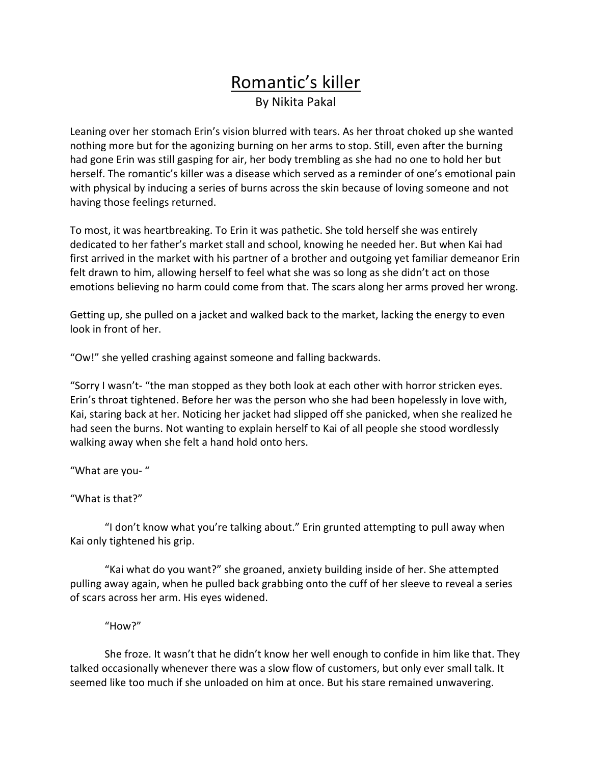## Romantic's killer By Nikita Pakal

Leaning over her stomach Erin's vision blurred with tears. As her throat choked up she wanted nothing more but for the agonizing burning on her arms to stop. Still, even after the burning had gone Erin was still gasping for air, her body trembling as she had no one to hold her but herself. The romantic's killer was a disease which served as a reminder of one's emotional pain with physical by inducing a series of burns across the skin because of loving someone and not having those feelings returned.

To most, it was heartbreaking. To Erin it was pathetic. She told herself she was entirely dedicated to her father's market stall and school, knowing he needed her. But when Kai had first arrived in the market with his partner of a brother and outgoing yet familiar demeanor Erin felt drawn to him, allowing herself to feel what she was so long as she didn't act on those emotions believing no harm could come from that. The scars along her arms proved her wrong.

Getting up, she pulled on a jacket and walked back to the market, lacking the energy to even look in front of her.

"Ow!" she yelled crashing against someone and falling backwards.

"Sorry I wasn't- "the man stopped as they both look at each other with horror stricken eyes. Erin's throat tightened. Before her was the person who she had been hopelessly in love with, Kai, staring back at her. Noticing her jacket had slipped off she panicked, when she realized he had seen the burns. Not wanting to explain herself to Kai of all people she stood wordlessly walking away when she felt a hand hold onto hers.

"What are you-"

"What is that?"

"I don't know what you're talking about." Erin grunted attempting to pull away when Kai only tightened his grip.

"Kai what do you want?" she groaned, anxiety building inside of her. She attempted pulling away again, when he pulled back grabbing onto the cuff of her sleeve to reveal a series of scars across her arm. His eyes widened.

"How?" 

She froze. It wasn't that he didn't know her well enough to confide in him like that. They talked occasionally whenever there was a slow flow of customers, but only ever small talk. It seemed like too much if she unloaded on him at once. But his stare remained unwavering.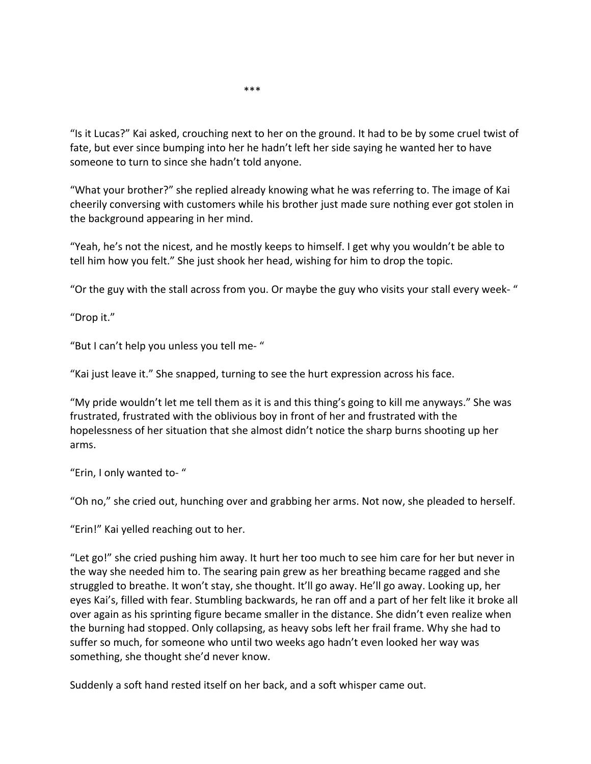"Is it Lucas?" Kai asked, crouching next to her on the ground. It had to be by some cruel twist of fate, but ever since bumping into her he hadn't left her side saying he wanted her to have someone to turn to since she hadn't told anyone.

"What your brother?" she replied already knowing what he was referring to. The image of Kai cheerily conversing with customers while his brother just made sure nothing ever got stolen in the background appearing in her mind.

"Yeah, he's not the nicest, and he mostly keeps to himself. I get why you wouldn't be able to tell him how you felt." She just shook her head, wishing for him to drop the topic.

"Or the guy with the stall across from you. Or maybe the guy who visits your stall every week-"

"Drop it."

"But I can't help you unless you tell me-"

"Kai just leave it." She snapped, turning to see the hurt expression across his face.

"My pride wouldn't let me tell them as it is and this thing's going to kill me anyways." She was frustrated, frustrated with the oblivious boy in front of her and frustrated with the hopelessness of her situation that she almost didn't notice the sharp burns shooting up her arms. 

"Erin, I only wanted to-"

"Oh no," she cried out, hunching over and grabbing her arms. Not now, she pleaded to herself.

"Erin!" Kai yelled reaching out to her.

"Let go!" she cried pushing him away. It hurt her too much to see him care for her but never in the way she needed him to. The searing pain grew as her breathing became ragged and she struggled to breathe. It won't stay, she thought. It'll go away. He'll go away. Looking up, her eyes Kai's, filled with fear. Stumbling backwards, he ran off and a part of her felt like it broke all over again as his sprinting figure became smaller in the distance. She didn't even realize when the burning had stopped. Only collapsing, as heavy sobs left her frail frame. Why she had to suffer so much, for someone who until two weeks ago hadn't even looked her way was something, she thought she'd never know.

Suddenly a soft hand rested itself on her back, and a soft whisper came out.